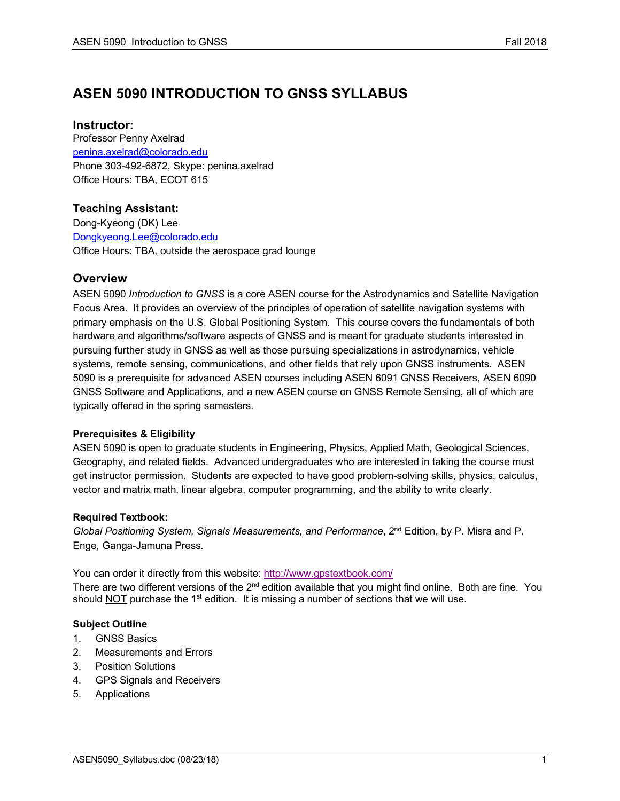# **ASEN 5090 INTRODUCTION TO GNSS SYLLABUS**

# **Instructor:**

Professor Penny Axelrad penina.axelrad@colorado.edu Phone 303-492-6872, Skype: penina.axelrad Office Hours: TBA, ECOT 615

# **Teaching Assistant:**

Dong-Kyeong (DK) Lee Dongkyeong.Lee@colorado.edu Office Hours: TBA, outside the aerospace grad lounge

# **Overview**

ASEN 5090 *Introduction to GNSS* is a core ASEN course for the Astrodynamics and Satellite Navigation Focus Area. It provides an overview of the principles of operation of satellite navigation systems with primary emphasis on the U.S. Global Positioning System. This course covers the fundamentals of both hardware and algorithms/software aspects of GNSS and is meant for graduate students interested in pursuing further study in GNSS as well as those pursuing specializations in astrodynamics, vehicle systems, remote sensing, communications, and other fields that rely upon GNSS instruments. ASEN 5090 is a prerequisite for advanced ASEN courses including ASEN 6091 GNSS Receivers, ASEN 6090 GNSS Software and Applications, and a new ASEN course on GNSS Remote Sensing, all of which are typically offered in the spring semesters.

# **Prerequisites & Eligibility**

ASEN 5090 is open to graduate students in Engineering, Physics, Applied Math, Geological Sciences, Geography, and related fields. Advanced undergraduates who are interested in taking the course must get instructor permission. Students are expected to have good problem-solving skills, physics, calculus, vector and matrix math, linear algebra, computer programming, and the ability to write clearly.

# **Required Textbook:**

*Global Positioning System, Signals Measurements, and Performance*, 2nd Edition, by P. Misra and P. Enge, Ganga-Jamuna Press.

You can order it directly from this website: http://www.gpstextbook.com/ There are two different versions of the  $2<sup>nd</sup>$  edition available that you might find online. Both are fine. You should  $NOT$  purchase the 1<sup>st</sup> edition. It is missing a number of sections that we will use.

# **Subject Outline**

- 1. GNSS Basics
- 2. Measurements and Errors
- 3. Position Solutions
- 4. GPS Signals and Receivers
- 5. Applications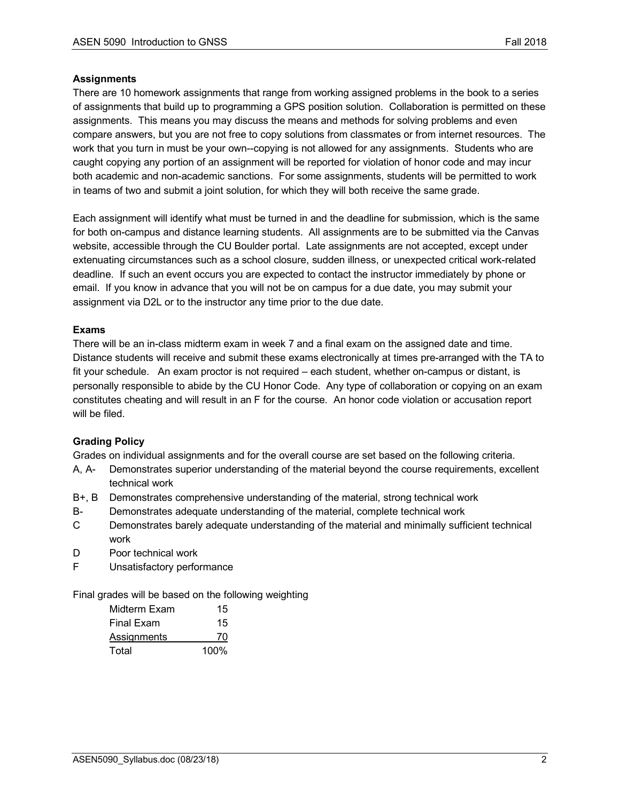# **Assignments**

There are 10 homework assignments that range from working assigned problems in the book to a series of assignments that build up to programming a GPS position solution. Collaboration is permitted on these assignments. This means you may discuss the means and methods for solving problems and even compare answers, but you are not free to copy solutions from classmates or from internet resources. The work that you turn in must be your own--copying is not allowed for any assignments. Students who are caught copying any portion of an assignment will be reported for violation of honor code and may incur both academic and non-academic sanctions. For some assignments, students will be permitted to work in teams of two and submit a joint solution, for which they will both receive the same grade.

Each assignment will identify what must be turned in and the deadline for submission, which is the same for both on-campus and distance learning students. All assignments are to be submitted via the Canvas website, accessible through the CU Boulder portal. Late assignments are not accepted, except under extenuating circumstances such as a school closure, sudden illness, or unexpected critical work-related deadline. If such an event occurs you are expected to contact the instructor immediately by phone or email. If you know in advance that you will not be on campus for a due date, you may submit your assignment via D2L or to the instructor any time prior to the due date.

# **Exams**

There will be an in-class midterm exam in week 7 and a final exam on the assigned date and time. Distance students will receive and submit these exams electronically at times pre-arranged with the TA to fit your schedule. An exam proctor is not required – each student, whether on-campus or distant, is personally responsible to abide by the CU Honor Code. Any type of collaboration or copying on an exam constitutes cheating and will result in an F for the course. An honor code violation or accusation report will be filed.

# **Grading Policy**

Grades on individual assignments and for the overall course are set based on the following criteria.

- A, A- Demonstrates superior understanding of the material beyond the course requirements, excellent technical work
- B+, B Demonstrates comprehensive understanding of the material, strong technical work
- B- Demonstrates adequate understanding of the material, complete technical work
- C Demonstrates barely adequate understanding of the material and minimally sufficient technical work
- D Poor technical work
- F Unsatisfactory performance

Final grades will be based on the following weighting

| Midterm Exam | 15      |
|--------------|---------|
| Final Exam   | 15      |
| Assignments  | 70      |
| Total        | $100\%$ |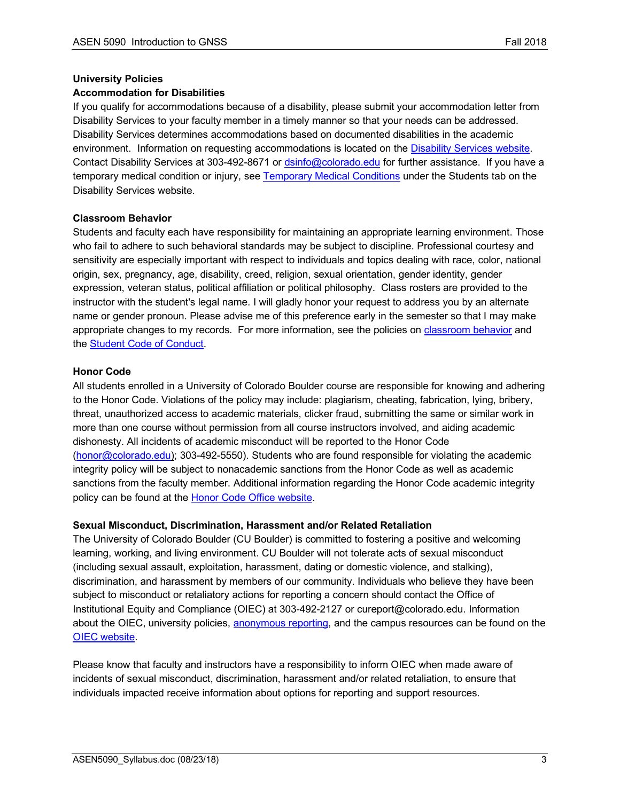#### **University Policies**

### **Accommodation for Disabilities**

If you qualify for accommodations because of a disability, please submit your accommodation letter from Disability Services to your faculty member in a timely manner so that your needs can be addressed. Disability Services determines accommodations based on documented disabilities in the academic environment. Information on requesting accommodations is located on the Disability Services website. Contact Disability Services at 303-492-8671 or dsinfo@colorado.edu for further assistance. If you have a temporary medical condition or injury, see Temporary Medical Conditions under the Students tab on the Disability Services website.

### **Classroom Behavior**

Students and faculty each have responsibility for maintaining an appropriate learning environment. Those who fail to adhere to such behavioral standards may be subject to discipline. Professional courtesy and sensitivity are especially important with respect to individuals and topics dealing with race, color, national origin, sex, pregnancy, age, disability, creed, religion, sexual orientation, gender identity, gender expression, veteran status, political affiliation or political philosophy. Class rosters are provided to the instructor with the student's legal name. I will gladly honor your request to address you by an alternate name or gender pronoun. Please advise me of this preference early in the semester so that I may make appropriate changes to my records. For more information, see the policies on classroom behavior and the Student Code of Conduct.

### **Honor Code**

All students enrolled in a University of Colorado Boulder course are responsible for knowing and adhering to the Honor Code. Violations of the policy may include: plagiarism, cheating, fabrication, lying, bribery, threat, unauthorized access to academic materials, clicker fraud, submitting the same or similar work in more than one course without permission from all course instructors involved, and aiding academic dishonesty. All incidents of academic misconduct will be reported to the Honor Code (honor@colorado.edu); 303-492-5550). Students who are found responsible for violating the academic integrity policy will be subject to nonacademic sanctions from the Honor Code as well as academic sanctions from the faculty member. Additional information regarding the Honor Code academic integrity policy can be found at the Honor Code Office website.

# **Sexual Misconduct, Discrimination, Harassment and/or Related Retaliation**

The University of Colorado Boulder (CU Boulder) is committed to fostering a positive and welcoming learning, working, and living environment. CU Boulder will not tolerate acts of sexual misconduct (including sexual assault, exploitation, harassment, dating or domestic violence, and stalking), discrimination, and harassment by members of our community. Individuals who believe they have been subject to misconduct or retaliatory actions for reporting a concern should contact the Office of Institutional Equity and Compliance (OIEC) at 303-492-2127 or cureport@colorado.edu. Information about the OIEC, university policies, anonymous reporting, and the campus resources can be found on the OIEC website.

Please know that faculty and instructors have a responsibility to inform OIEC when made aware of incidents of sexual misconduct, discrimination, harassment and/or related retaliation, to ensure that individuals impacted receive information about options for reporting and support resources.